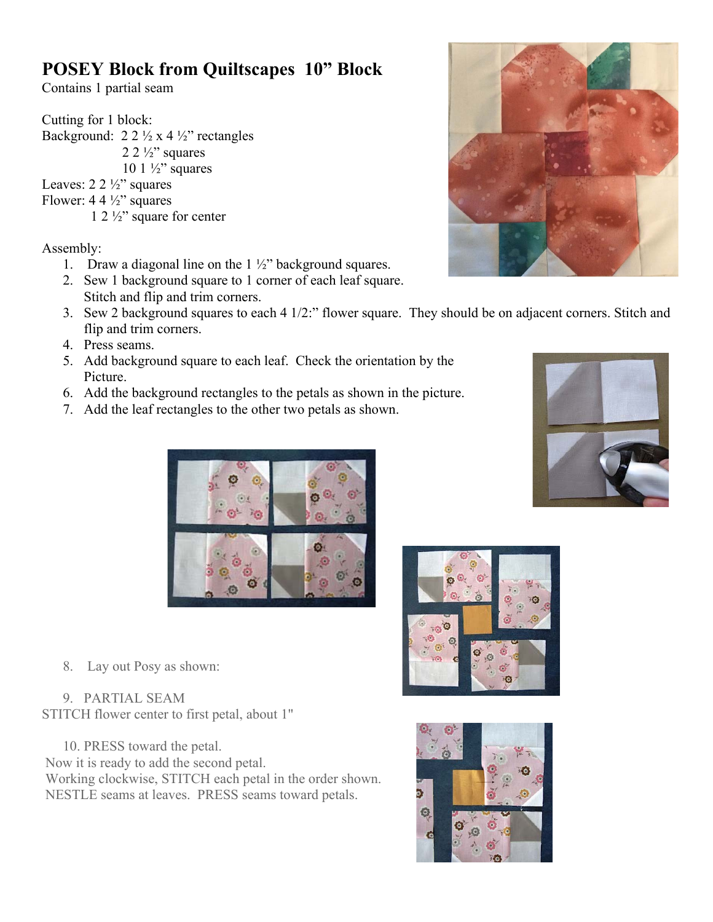## **POSEY Block from Quiltscapes 10" Block**

Contains 1 partial seam

Cutting for 1 block: Background:  $2 \frac{2 \frac{1}{2} x 4 \frac{1}{2}}$  rectangles  $2 \frac{2 \frac{1}{2}}{2}$  squares 10 1  $\frac{1}{2}$ " squares Leaves:  $2 \frac{2 \frac{1}{2}}{2}$  squares Flower:  $4.4\frac{1}{2}$ " squares 1 2 ½" square for center

Assembly:

- 1. Draw a diagonal line on the  $1\frac{1}{2}$ " background squares.
- 2. Sew 1 background square to 1 corner of each leaf square. Stitch and flip and trim corners.
- 3. Sew 2 background squares to each 4 1/2:" flower square. They should be on adjacent corners. Stitch and flip and trim corners.
- 4. Press seams.
- 5. Add background square to each leaf. Check the orientation by the Picture.
- 6. Add the background rectangles to the petals as shown in the picture.
- 7. Add the leaf rectangles to the other two petals as shown.





8. Lay out Posy as shown:

9. PARTIAL SEAM STITCH flower center to first petal, about 1"

10. PRESS toward the petal. Now it is ready to add the second petal. Working clockwise, STITCH each petal in the order shown. NESTLE seams at leaves. PRESS seams toward petals.